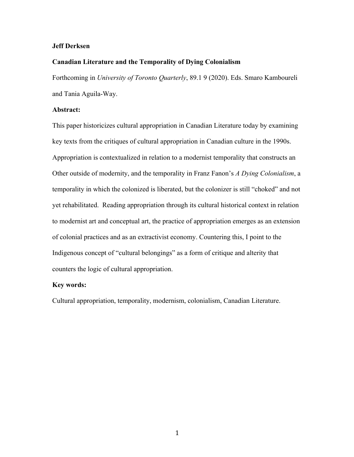### **Jeff Derksen**

## **Canadian Literature and the Temporality of Dying Colonialism**

Forthcoming in *University of Toronto Quarterly*, 89.1 9 (2020). Eds. Smaro Kamboureli and Tania Aguila-Way.

## **Abstract:**

This paper historicizes cultural appropriation in Canadian Literature today by examining key texts from the critiques of cultural appropriation in Canadian culture in the 1990s. Appropriation is contextualized in relation to a modernist temporality that constructs an Other outside of modernity, and the temporality in Franz Fanon's *A Dying Colonialism*, a temporality in which the colonized is liberated, but the colonizer is still "choked" and not yet rehabilitated. Reading appropriation through its cultural historical context in relation to modernist art and conceptual art, the practice of appropriation emerges as an extension of colonial practices and as an extractivist economy. Countering this, I point to the Indigenous concept of "cultural belongings" as a form of critique and alterity that counters the logic of cultural appropriation.

#### **Key words:**

Cultural appropriation, temporality, modernism, colonialism, Canadian Literature.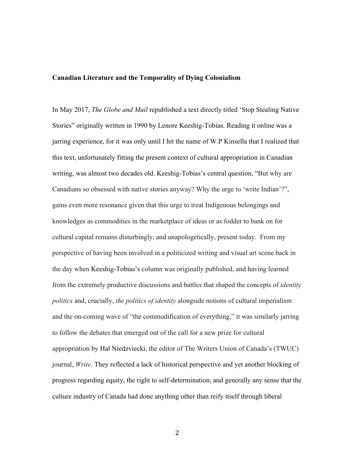### **Canadian Literature and the Temporality of Dying Colonialism**

In May 2017, *The Globe and Mail* republished a text directly titled 'Stop Stealing Native Stories" originally written in 1990 by Lenore Keeshig-Tobias. Reading it online was a jarring experience, for it was only until I hit the name of W.P Kinsella that I realized that this text, unfortunately fitting the present context of cultural appropriation in Canadian writing, was almost two decades old. Keeshig-Tobias's central question, "But why are Canadians so obsessed with native stories anyway? Why the urge to 'write Indian'?", gains even more resonance given that this urge to treat Indigenous belongings and knowledges as commodities in the marketplace of ideas or as fodder to bank on for cultural capital remains disturbingly, and unapologetically, present today. From my perspective of having been involved in a politicized writing and visual art scene back in the day when Keeshig-Tobias's column was originally published, and having learned from the extremely productive discussions and battles that shaped the concepts of *identity politics* and, crucially, *the politics of identity* alongside notions of cultural imperialism and the on-coming wave of "the commodification of everything," it was similarly jarring to follow the debates that emerged out of the call for a new prize for cultural appropriation by Hal Niedzviecki, the editor of The Writers Union of Canada's (TWUC) journal, *Write*. They reflected a lack of historical perspective and yet another blocking of progress regarding equity, the right to self-determination, and generally any sense that the culture industry of Canada had done anything other than reify itself through liberal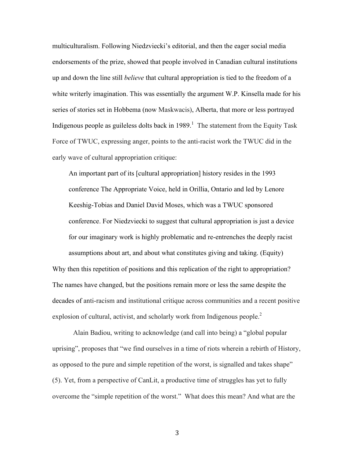multiculturalism. Following Niedzviecki's editorial, and then the eager social media endorsements of the prize, showed that people involved in Canadian cultural institutions up and down the line still *believe* that cultural appropriation is tied to the freedom of a white writerly imagination. This was essentially the argument W.P. Kinsella made for his series of stories set in Hobbema (now Maskwacis), Alberta, that more or less portrayed Indigenous people as guileless dolts back in  $1989$ <sup>1</sup>. The statement from the Equity Task Force of TWUC, expressing anger, points to the anti-racist work the TWUC did in the early wave of cultural appropriation critique:

An important part of its [cultural appropriation] history resides in the 1993 conference The Appropriate Voice, held in Orillia, Ontario and led by Lenore Keeshig-Tobias and Daniel David Moses, which was a TWUC sponsored conference. For Niedzviecki to suggest that cultural appropriation is just a device for our imaginary work is highly problematic and re-entrenches the deeply racist assumptions about art, and about what constitutes giving and taking. (Equity) Why then this repetition of positions and this replication of the right to appropriation? The names have changed, but the positions remain more or less the same despite the decades of anti-racism and institutional critique across communities and a recent positive explosion of cultural, activist, and scholarly work from Indigenous people.<sup>2</sup>

Alain Badiou, writing to acknowledge (and call into being) a "global popular uprising", proposes that "we find ourselves in a time of riots wherein a rebirth of History, as opposed to the pure and simple repetition of the worst, is signalled and takes shape" (5). Yet, from a perspective of CanLit, a productive time of struggles has yet to fully overcome the "simple repetition of the worst." What does this mean? And what are the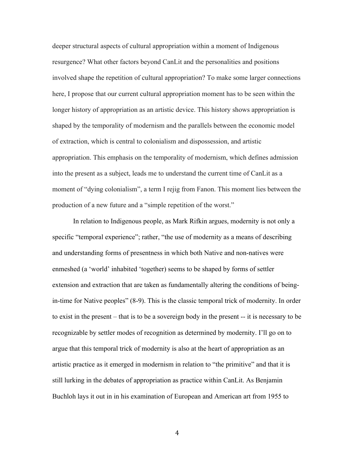deeper structural aspects of cultural appropriation within a moment of Indigenous resurgence? What other factors beyond CanLit and the personalities and positions involved shape the repetition of cultural appropriation? To make some larger connections here, I propose that our current cultural appropriation moment has to be seen within the longer history of appropriation as an artistic device. This history shows appropriation is shaped by the temporality of modernism and the parallels between the economic model of extraction, which is central to colonialism and dispossession, and artistic appropriation. This emphasis on the temporality of modernism, which defines admission into the present as a subject, leads me to understand the current time of CanLit as a moment of "dying colonialism", a term I rejig from Fanon. This moment lies between the production of a new future and a "simple repetition of the worst."

In relation to Indigenous people, as Mark Rifkin argues, modernity is not only a specific "temporal experience"; rather, "the use of modernity as a means of describing and understanding forms of presentness in which both Native and non-natives were enmeshed (a 'world' inhabited 'together) seems to be shaped by forms of settler extension and extraction that are taken as fundamentally altering the conditions of beingin-time for Native peoples" (8-9). This is the classic temporal trick of modernity. In order to exist in the present – that is to be a sovereign body in the present -- it is necessary to be recognizable by settler modes of recognition as determined by modernity. I'll go on to argue that this temporal trick of modernity is also at the heart of appropriation as an artistic practice as it emerged in modernism in relation to "the primitive" and that it is still lurking in the debates of appropriation as practice within CanLit. As Benjamin Buchloh lays it out in in his examination of European and American art from 1955 to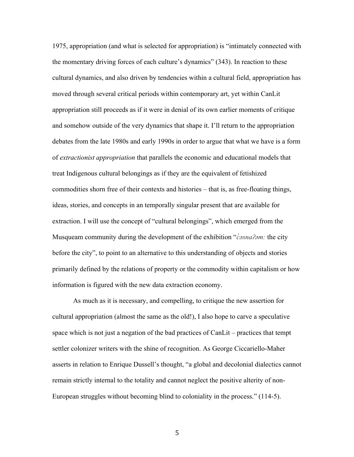1975, appropriation (and what is selected for appropriation) is "intimately connected with the momentary driving forces of each culture's dynamics" (343). In reaction to these cultural dynamics, and also driven by tendencies within a cultural field, appropriation has moved through several critical periods within contemporary art, yet within CanLit appropriation still proceeds as if it were in denial of its own earlier moments of critique and somehow outside of the very dynamics that shape it. I'll return to the appropriation debates from the late 1980s and early 1990s in order to argue that what we have is a form of *extractionist appropriation* that parallels the economic and educational models that treat Indigenous cultural belongings as if they are the equivalent of fetishized commodities shorn free of their contexts and histories – that is, as free-floating things, ideas, stories, and concepts in an temporally singular present that are available for extraction. I will use the concept of "cultural belongings", which emerged from the Musqueam community during the development of the exhibition "*c̓əsnaʔəm:* the city before the city", to point to an alternative to this understanding of objects and stories primarily defined by the relations of property or the commodity within capitalism or how information is figured with the new data extraction economy.

As much as it is necessary, and compelling, to critique the new assertion for cultural appropriation (almost the same as the old!), I also hope to carve a speculative space which is not just a negation of the bad practices of CanLit – practices that tempt settler colonizer writers with the shine of recognition. As George Ciccariello-Maher asserts in relation to Enrique Dussell's thought, "a global and decolonial dialectics cannot remain strictly internal to the totality and cannot neglect the positive alterity of non-European struggles without becoming blind to coloniality in the process." (114-5).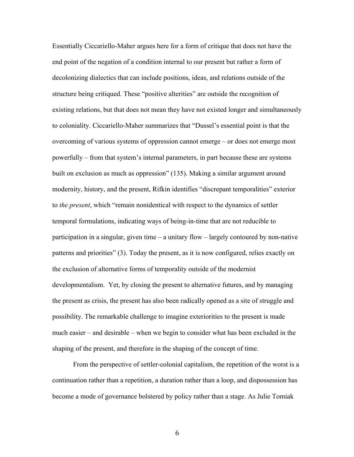Essentially Ciccariello-Maher argues here for a form of critique that does not have the end point of the negation of a condition internal to our present but rather a form of decolonizing dialectics that can include positions, ideas, and relations outside of the structure being critiqued. These "positive alterities" are outside the recognition of existing relations, but that does not mean they have not existed longer and simultaneously to coloniality. Ciccariello-Maher summarizes that "Dussel's essential point is that the overcoming of various systems of oppression cannot emerge – or does not emerge most powerfully – from that system's internal parameters, in part because these are systems built on exclusion as much as oppression" (135). Making a similar argument around modernity, history, and the present, Rifkin identifies "discrepant temporalities" exterior to *the present*, which "remain nonidentical with respect to the dynamics of settler temporal formulations, indicating ways of being-in-time that are not reducible to participation in a singular, given time – a unitary flow – largely contoured by non-native patterns and priorities" (3). Today the present, as it is now configured, relies exactly on the exclusion of alternative forms of temporality outside of the modernist developmentalism. Yet, by closing the present to alternative futures, and by managing the present as crisis, the present has also been radically opened as a site of struggle and possibility. The remarkable challenge to imagine exteriorities to the present is made much easier – and desirable – when we begin to consider what has been excluded in the shaping of the present, and therefore in the shaping of the concept of time.

From the perspective of settler-colonial capitalism, the repetition of the worst is a continuation rather than a repetition, a duration rather than a loop, and dispossession has become a mode of governance bolstered by policy rather than a stage. As Julie Tomiak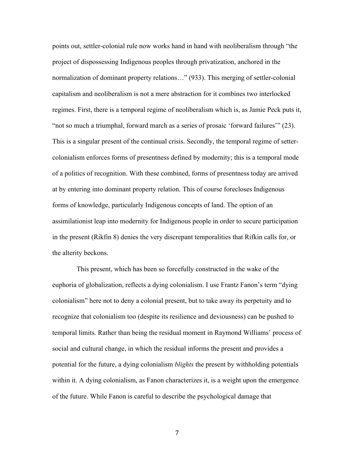points out, settler-colonial rule now works hand in hand with neoliberalism through "the project of dispossessing Indigenous peoples through privatization, anchored in the normalization of dominant property relations…" (933). This merging of settler-colonial capitalism and neoliberalism is not a mere abstraction for it combines two interlocked regimes. First, there is a temporal regime of neoliberalism which is, as Jamie Peck puts it, "not so much a triumphal, forward march as a series of prosaic 'forward failures'" (23). This is a singular present of the continual crisis. Secondly, the temporal regime of settercolonialism enforces forms of presentness defined by modernity; this is a temporal mode of a politics of recognition. With these combined, forms of presentness today are arrived at by entering into dominant property relation. This of course forecloses Indigenous forms of knowledge, particularly Indigenous concepts of land. The option of an assimilationist leap into modernity for Indigenous people in order to secure participation in the present (Rikfin 8) denies the very discrepant temporalities that Rifkin calls for, or the alterity beckons.

This present, which has been so forcefully constructed in the wake of the euphoria of globalization, reflects a dying colonialism. I use Frantz Fanon's term "dying colonialism" here not to deny a colonial present, but to take away its perpetuity and to recognize that colonialism too (despite its resilience and deviousness) can be pushed to temporal limits. Rather than being the residual moment in Raymond Williams' process of social and cultural change, in which the residual informs the present and provides a potential for the future, a dying colonialism *blights* the present by withholding potentials within it. A dying colonialism, as Fanon characterizes it, is a weight upon the emergence of the future. While Fanon is careful to describe the psychological damage that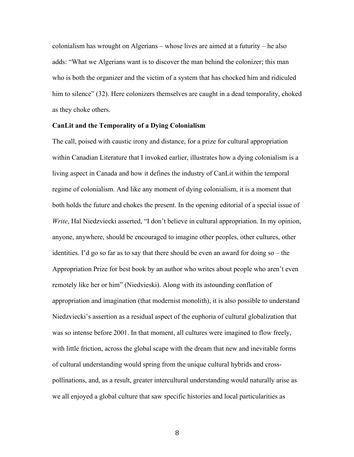colonialism has wrought on Algerians – whose lives are aimed at a futurity – he also adds: "What we Algerians want is to discover the man behind the colonizer; this man who is both the organizer and the victim of a system that has chocked him and ridiculed him to silence" (32). Here colonizers themselves are caught in a dead temporality, choked as they choke others.

#### **CanLit and the Temporality of a Dying Colonialism**

The call, poised with caustic irony and distance, for a prize for cultural appropriation within Canadian Literature that I invoked earlier, illustrates how a dying colonialism is a living aspect in Canada and how it defines the industry of CanLit within the temporal regime of colonialism. And like any moment of dying colonialism, it is a moment that both holds the future and chokes the present. In the opening editorial of a special issue of *Write*, Hal Niedzviecki asserted, "I don't believe in cultural appropriation. In my opinion, anyone, anywhere, should be encouraged to imagine other peoples, other cultures, other identities. I'd go so far as to say that there should be even an award for doing so – the Appropriation Prize for best book by an author who writes about people who aren't even remotely like her or him" (Niedvieski). Along with its astounding conflation of appropriation and imagination (that modernist monolith), it is also possible to understand Niedzviecki's assertion as a residual aspect of the euphoria of cultural globalization that was so intense before 2001. In that moment, all cultures were imagined to flow freely, with little friction, across the global scape with the dream that new and inevitable forms of cultural understanding would spring from the unique cultural hybrids and crosspollinations, and, as a result, greater intercultural understanding would naturally arise as we all enjoyed a global culture that saw specific histories and local particularities as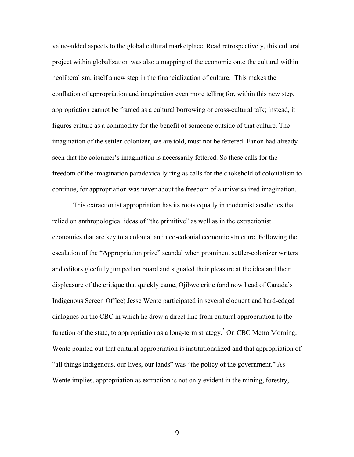value-added aspects to the global cultural marketplace. Read retrospectively, this cultural project within globalization was also a mapping of the economic onto the cultural within neoliberalism, itself a new step in the financialization of culture. This makes the conflation of appropriation and imagination even more telling for, within this new step, appropriation cannot be framed as a cultural borrowing or cross-cultural talk; instead, it figures culture as a commodity for the benefit of someone outside of that culture. The imagination of the settler-colonizer, we are told, must not be fettered. Fanon had already seen that the colonizer's imagination is necessarily fettered. So these calls for the freedom of the imagination paradoxically ring as calls for the chokehold of colonialism to continue, for appropriation was never about the freedom of a universalized imagination.

This extractionist appropriation has its roots equally in modernist aesthetics that relied on anthropological ideas of "the primitive" as well as in the extractionist economies that are key to a colonial and neo-colonial economic structure. Following the escalation of the "Appropriation prize" scandal when prominent settler-colonizer writers and editors gleefully jumped on board and signaled their pleasure at the idea and their displeasure of the critique that quickly came, Ojibwe critic (and now head of Canada's Indigenous Screen Office) Jesse Wente participated in several eloquent and hard-edged dialogues on the CBC in which he drew a direct line from cultural appropriation to the function of the state, to appropriation as a long-term strategy.<sup>3</sup> On CBC Metro Morning, Wente pointed out that cultural appropriation is institutionalized and that appropriation of "all things Indigenous, our lives, our lands" was "the policy of the government." As Wente implies, appropriation as extraction is not only evident in the mining, forestry,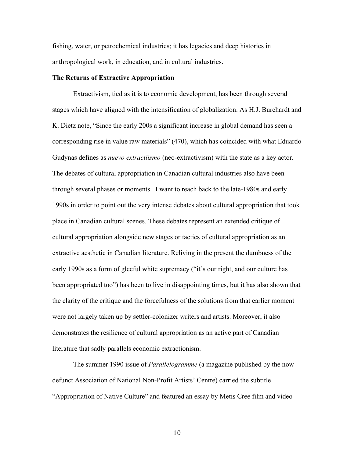fishing, water, or petrochemical industries; it has legacies and deep histories in anthropological work, in education, and in cultural industries.

#### **The Returns of Extractive Appropriation**

Extractivism, tied as it is to economic development, has been through several stages which have aligned with the intensification of globalization. As H.J. Burchardt and K. Dietz note, "Since the early 200s a significant increase in global demand has seen a corresponding rise in value raw materials" (470), which has coincided with what Eduardo Gudynas defines as *nuevo extractiismo* (neo-extractivism) with the state as a key actor. The debates of cultural appropriation in Canadian cultural industries also have been through several phases or moments. I want to reach back to the late-1980s and early 1990s in order to point out the very intense debates about cultural appropriation that took place in Canadian cultural scenes. These debates represent an extended critique of cultural appropriation alongside new stages or tactics of cultural appropriation as an extractive aesthetic in Canadian literature. Reliving in the present the dumbness of the early 1990s as a form of gleeful white supremacy ("it's our right, and our culture has been appropriated too") has been to live in disappointing times, but it has also shown that the clarity of the critique and the forcefulness of the solutions from that earlier moment were not largely taken up by settler-colonizer writers and artists. Moreover, it also demonstrates the resilience of cultural appropriation as an active part of Canadian literature that sadly parallels economic extractionism.

The summer 1990 issue of *Parallelogramme* (a magazine published by the nowdefunct Association of National Non-Profit Artists' Centre) carried the subtitle "Appropriation of Native Culture" and featured an essay by Metis Cree film and video-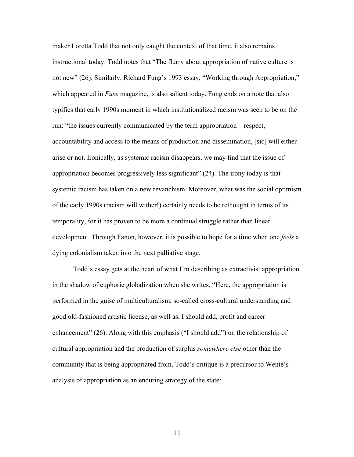maker Loretta Todd that not only caught the context of that time, it also remains instructional today. Todd notes that "The flurry about appropriation of native culture is not new" (26). Similarly, Richard Fung's 1993 essay, "Working through Appropriation," which appeared in *Fuse* magazine, is also salient today. Fung ends on a note that also typifies that early 1990s moment in which institutionalized racism was seen to be on the run: "the issues currently communicated by the term appropriation – respect, accountability and access to the means of production and dissemination, [sic] will either arise or not. Ironically, as systemic racism disappears, we may find that the issue of appropriation becomes progressively less significant" (24). The irony today is that systemic racism has taken on a new revanchism. Moreover, what was the social optimism of the early 1990s (racism will wither!) certainly needs to be rethought in terms of its temporality, for it has proven to be more a continual struggle rather than linear development. Through Fanon, however, it is possible to hope for a time when one *feels* a dying colonialism taken into the next palliative stage.

Todd's essay gets at the heart of what I'm describing as extractivist appropriation in the shadow of euphoric globalization when she writes, "Here, the appropriation is performed in the guise of multiculturalism, so-called cross-cultural understanding and good old-fashioned artistic license, as well as, I should add, profit and career enhancement" (26). Along with this emphasis ("I should add") on the relationship of cultural appropriation and the production of surplus *somewhere else* other than the community that is being appropriated from, Todd's critique is a precursor to Wente's analysis of appropriation as an enduring strategy of the state: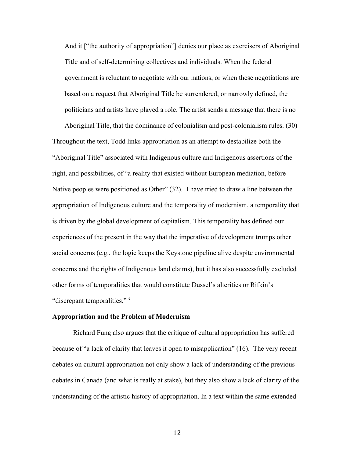And it ["the authority of appropriation"] denies our place as exercisers of Aboriginal Title and of self-determining collectives and individuals. When the federal government is reluctant to negotiate with our nations, or when these negotiations are based on a request that Aboriginal Title be surrendered, or narrowly defined, the politicians and artists have played a role. The artist sends a message that there is no

Aboriginal Title, that the dominance of colonialism and post-colonialism rules. (30) Throughout the text, Todd links appropriation as an attempt to destabilize both the "Aboriginal Title" associated with Indigenous culture and Indigenous assertions of the right, and possibilities, of "a reality that existed without European mediation, before Native peoples were positioned as Other" (32). I have tried to draw a line between the appropriation of Indigenous culture and the temporality of modernism, a temporality that is driven by the global development of capitalism. This temporality has defined our experiences of the present in the way that the imperative of development trumps other social concerns (e.g., the logic keeps the Keystone pipeline alive despite environmental concerns and the rights of Indigenous land claims), but it has also successfully excluded other forms of temporalities that would constitute Dussel's alterities or Rifkin's "discrepant temporalities." *<sup>4</sup>*

#### **Appropriation and the Problem of Modernism**

Richard Fung also argues that the critique of cultural appropriation has suffered because of "a lack of clarity that leaves it open to misapplication" (16). The very recent debates on cultural appropriation not only show a lack of understanding of the previous debates in Canada (and what is really at stake), but they also show a lack of clarity of the understanding of the artistic history of appropriation. In a text within the same extended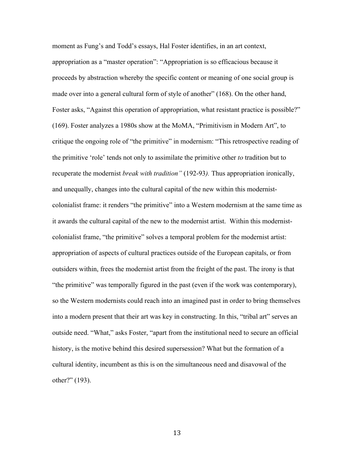moment as Fung's and Todd's essays, Hal Foster identifies, in an art context, appropriation as a "master operation": "Appropriation is so efficacious because it proceeds by abstraction whereby the specific content or meaning of one social group is made over into a general cultural form of style of another" (168). On the other hand, Foster asks, "Against this operation of appropriation, what resistant practice is possible?" (169). Foster analyzes a 1980s show at the MoMA, "Primitivism in Modern Art", to critique the ongoing role of "the primitive" in modernism: "This retrospective reading of the primitive 'role' tends not only to assimilate the primitive other *to* tradition but to recuperate the modernist *break with tradition"* (192-93*).* Thus appropriation ironically, and unequally, changes into the cultural capital of the new within this modernistcolonialist frame: it renders "the primitive" into a Western modernism at the same time as it awards the cultural capital of the new to the modernist artist. Within this modernistcolonialist frame, "the primitive" solves a temporal problem for the modernist artist: appropriation of aspects of cultural practices outside of the European capitals, or from outsiders within, frees the modernist artist from the freight of the past. The irony is that "the primitive" was temporally figured in the past (even if the work was contemporary), so the Western modernists could reach into an imagined past in order to bring themselves into a modern present that their art was key in constructing. In this, "tribal art" serves an outside need. "What," asks Foster, "apart from the institutional need to secure an official history, is the motive behind this desired supersession? What but the formation of a cultural identity, incumbent as this is on the simultaneous need and disavowal of the other?" (193).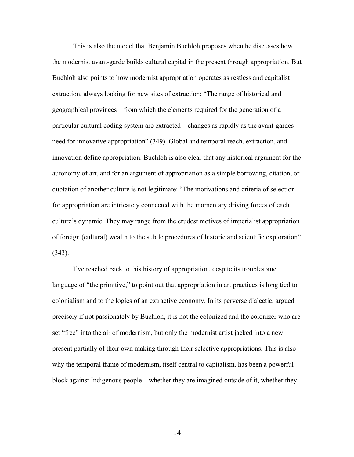This is also the model that Benjamin Buchloh proposes when he discusses how the modernist avant-garde builds cultural capital in the present through appropriation. But Buchloh also points to how modernist appropriation operates as restless and capitalist extraction, always looking for new sites of extraction: "The range of historical and geographical provinces – from which the elements required for the generation of a particular cultural coding system are extracted – changes as rapidly as the avant-gardes need for innovative appropriation" (349). Global and temporal reach, extraction, and innovation define appropriation. Buchloh is also clear that any historical argument for the autonomy of art, and for an argument of appropriation as a simple borrowing, citation, or quotation of another culture is not legitimate: "The motivations and criteria of selection for appropriation are intricately connected with the momentary driving forces of each culture's dynamic. They may range from the crudest motives of imperialist appropriation of foreign (cultural) wealth to the subtle procedures of historic and scientific exploration" (343).

I've reached back to this history of appropriation, despite its troublesome language of "the primitive," to point out that appropriation in art practices is long tied to colonialism and to the logics of an extractive economy. In its perverse dialectic, argued precisely if not passionately by Buchloh, it is not the colonized and the colonizer who are set "free" into the air of modernism, but only the modernist artist jacked into a new present partially of their own making through their selective appropriations. This is also why the temporal frame of modernism, itself central to capitalism, has been a powerful block against Indigenous people – whether they are imagined outside of it, whether they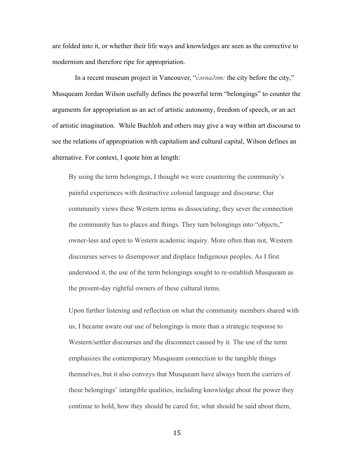are folded into it, or whether their life ways and knowledges are seen as the corrective to modernism and therefore ripe for appropriation.

In a recent museum project in Vancouver, "*c*<sup>2</sup>*osna?m*: the city before the city," Musqueam Jordan Wilson usefully defines the powerful term "belongings" to counter the arguments for appropriation as an act of artistic autonomy, freedom of speech, or an act of artistic imagination. While Buchloh and others may give a way within art discourse to see the relations of appropriation with capitalism and cultural capital, Wilson defines an alternative. For context, I quote him at length:

By using the term belongings, I thought we were countering the community's painful experiences with destructive colonial language and discourse. Our community views these Western terms as dissociating; they sever the connection the community has to places and things. They turn belongings into "objects," owner-less and open to Western academic inquiry. More often than not, Western discourses serves to disempower and displace Indigenous peoples. As I first understood it, the use of the term belongings sought to re-establish Musqueam as the present-day rightful owners of these cultural items.

Upon further listening and reflection on what the community members shared with us, I became aware our use of belongings is more than a strategic response to Western/settler discourses and the disconnect caused by it. The use of the term emphasizes the contemporary Musqueam connection to the tangible things themselves, but it also conveys that Musqueam have always been the carriers of these belongings' intangible qualities, including knowledge about the power they continue to hold, how they should be cared for, what should be said about them,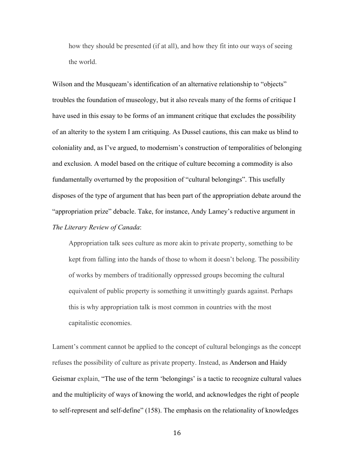how they should be presented (if at all), and how they fit into our ways of seeing the world.

Wilson and the Musqueam's identification of an alternative relationship to "objects" troubles the foundation of museology, but it also reveals many of the forms of critique I have used in this essay to be forms of an immanent critique that excludes the possibility of an alterity to the system I am critiquing. As Dussel cautions, this can make us blind to coloniality and, as I've argued, to modernism's construction of temporalities of belonging and exclusion. A model based on the critique of culture becoming a commodity is also fundamentally overturned by the proposition of "cultural belongings". This usefully disposes of the type of argument that has been part of the appropriation debate around the "appropriation prize" debacle. Take, for instance, Andy Lamey's reductive argument in *The Literary Review of Canada*:

Appropriation talk sees culture as more akin to private property, something to be kept from falling into the hands of those to whom it doesn't belong. The possibility of works by members of traditionally oppressed groups becoming the cultural equivalent of public property is something it unwittingly guards against. Perhaps this is why appropriation talk is most common in countries with the most capitalistic economies.

Lament's comment cannot be applied to the concept of cultural belongings as the concept refuses the possibility of culture as private property. Instead, as Anderson and Haidy Geismar explain, "The use of the term 'belongings' is a tactic to recognize cultural values and the multiplicity of ways of knowing the world, and acknowledges the right of people to self-represent and self-define" (158). The emphasis on the relationality of knowledges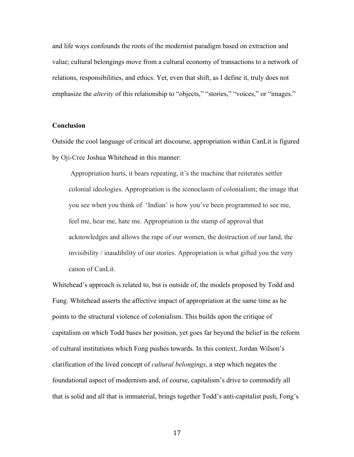and life ways confounds the roots of the modernist paradigm based on extraction and value; cultural belongings move from a cultural economy of transactions to a network of relations, responsibilities, and ethics. Yet, even that shift, as I define it, truly does not emphasize the *alterity* of this relationship to "objects," "stories," "voices," or "images."

#### **Conclusion**

Outside the cool language of critical art discourse, appropriation within CanLit is figured by Oji-Cree Joshua Whitehead in this manner:

Appropriation hurts, it bears repeating, it's the machine that reiterates settler colonial ideologies. Appropriation is the iconoclasm of colonialism; the image that you see when you think of 'Indian' is how you've been programmed to see me, feel me, hear me, hate me. Appropriation is the stamp of approval that acknowledges and allows the rape of our women, the destruction of our land, the invisibility / inaudibility of our stories. Appropriation is what gifted you the very canon of CanLit.

Whitehead's approach is related to, but is outside of, the models proposed by Todd and Fung. Whitehead asserts the affective impact of appropriation at the same time as he points to the structural violence of colonialism. This builds upon the critique of capitalism on which Todd bases her position, yet goes far beyond the belief in the reform of cultural institutions which Fong pushes towards. In this context, Jordan Wilson's clarification of the lived concept of *cultural belongings*, a step which negates the foundational aspect of modernism and, of course, capitalism's drive to commodify all that is solid and all that is immaterial, brings together Todd's anti-capitalist push, Fong's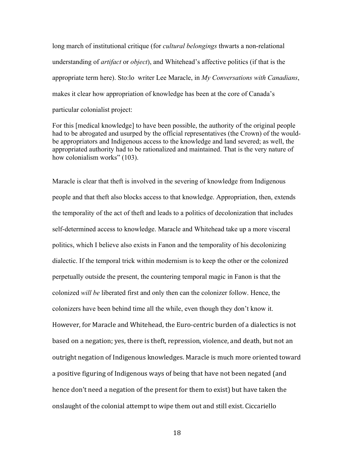long march of institutional critique (for *cultural belongings* thwarts a non-relational understanding of *artifact* or *object*), and Whitehead's affective politics (if that is the appropriate term here). Sto:lo writer Lee Maracle, in *My Conversations with Canadians*, makes it clear how appropriation of knowledge has been at the core of Canada's particular colonialist project:

For this [medical knowledge] to have been possible, the authority of the original people had to be abrogated and usurped by the official representatives (the Crown) of the wouldbe appropriators and Indigenous access to the knowledge and land severed; as well, the appropriated authority had to be rationalized and maintained. That is the very nature of how colonialism works" (103).

Maracle is clear that theft is involved in the severing of knowledge from Indigenous people and that theft also blocks access to that knowledge. Appropriation, then, extends the temporality of the act of theft and leads to a politics of decolonization that includes self-determined access to knowledge. Maracle and Whitehead take up a more visceral politics, which I believe also exists in Fanon and the temporality of his decolonizing dialectic. If the temporal trick within modernism is to keep the other or the colonized perpetually outside the present, the countering temporal magic in Fanon is that the colonized *will be* liberated first and only then can the colonizer follow. Hence, the colonizers have been behind time all the while, even though they don't know it. However, for Maracle and Whitehead, the Euro-centric burden of a dialectics is not based on a negation; yes, there is theft, repression, violence, and death, but not an outright negation of Indigenous knowledges. Maracle is much more oriented toward a positive figuring of Indigenous ways of being that have not been negated (and hence don't need a negation of the present for them to exist) but have taken the onslaught of the colonial attempt to wipe them out and still exist. Ciccariello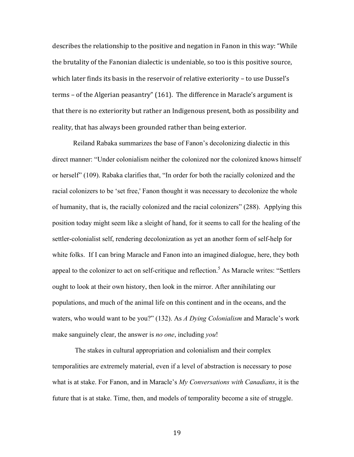describes the relationship to the positive and negation in Fanon in this way: "While the brutality of the Fanonian dialectic is undeniable, so too is this positive source, which later finds its basis in the reservoir of relative exteriority  $-$  to use Dussel's terms – of the Algerian peasantry"  $(161)$ . The difference in Maracle's argument is that there is no exteriority but rather an Indigenous present, both as possibility and reality, that has always been grounded rather than being exterior.

Reiland Rabaka summarizes the base of Fanon's decolonizing dialectic in this direct manner: "Under colonialism neither the colonized nor the colonized knows himself or herself" (109). Rabaka clarifies that, "In order for both the racially colonized and the racial colonizers to be 'set free,' Fanon thought it was necessary to decolonize the whole of humanity, that is, the racially colonized and the racial colonizers" (288). Applying this position today might seem like a sleight of hand, for it seems to call for the healing of the settler-colonialist self, rendering decolonization as yet an another form of self-help for white folks. If I can bring Maracle and Fanon into an imagined dialogue, here, they both appeal to the colonizer to act on self-critique and reflection.<sup>5</sup> As Maracle writes: "Settlers" ought to look at their own history, then look in the mirror. After annihilating our populations, and much of the animal life on this continent and in the oceans, and the waters, who would want to be you?" (132). As *A Dying Colonialism* and Maracle's work make sanguinely clear, the answer is *no one*, including *you*!

The stakes in cultural appropriation and colonialism and their complex temporalities are extremely material, even if a level of abstraction is necessary to pose what is at stake. For Fanon, and in Maracle's *My Conversations with Canadians*, it is the future that is at stake. Time, then, and models of temporality become a site of struggle.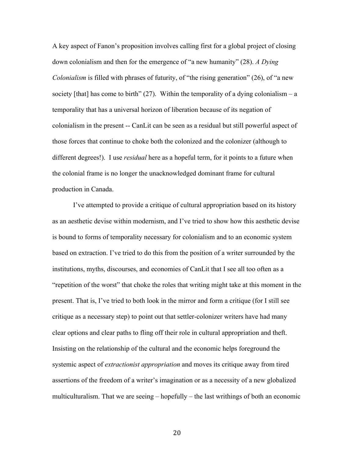A key aspect of Fanon's proposition involves calling first for a global project of closing down colonialism and then for the emergence of "a new humanity" (28). *A Dying Colonialism* is filled with phrases of futurity, of "the rising generation" (26), of "a new society [that] has come to birth"  $(27)$ . Within the temporality of a dying colonialism – a temporality that has a universal horizon of liberation because of its negation of colonialism in the present -- CanLit can be seen as a residual but still powerful aspect of those forces that continue to choke both the colonized and the colonizer (although to different degrees!). I use *residual* here as a hopeful term, for it points to a future when the colonial frame is no longer the unacknowledged dominant frame for cultural production in Canada.

I've attempted to provide a critique of cultural appropriation based on its history as an aesthetic devise within modernism, and I've tried to show how this aesthetic devise is bound to forms of temporality necessary for colonialism and to an economic system based on extraction. I've tried to do this from the position of a writer surrounded by the institutions, myths, discourses, and economies of CanLit that I see all too often as a "repetition of the worst" that choke the roles that writing might take at this moment in the present. That is, I've tried to both look in the mirror and form a critique (for I still see critique as a necessary step) to point out that settler-colonizer writers have had many clear options and clear paths to fling off their role in cultural appropriation and theft. Insisting on the relationship of the cultural and the economic helps foreground the systemic aspect of *extractionist appropriation* and moves its critique away from tired assertions of the freedom of a writer's imagination or as a necessity of a new globalized multiculturalism. That we are seeing – hopefully – the last writhings of both an economic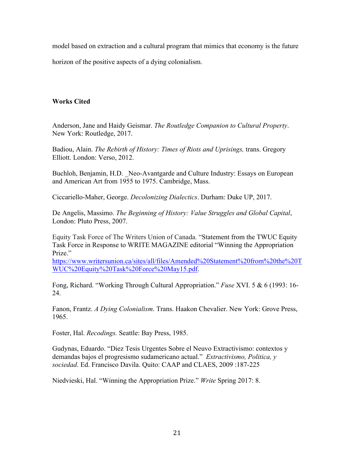model based on extraction and a cultural program that mimics that economy is the future

horizon of the positive aspects of a dying colonialism.

# **Works Cited**

Anderson, Jane and Haidy Geismar. *The Routledge Companion to Cultural Property*. New York: Routledge, 2017.

Badiou, Alain. *The Rebirth of History: Times of Riots and Uprisings*, trans. Gregory Elliott. London: Verso, 2012.

Buchloh, Benjamin, H.D. Neo-Avantgarde and Culture Industry: Essays on European and American Art from 1955 to 1975. Cambridge, Mass.

Ciccariello-Maher, George. *Decolonizing Dialectics*. Durham: Duke UP, 2017.

De Angelis, Massimo. *The Beginning of History: Value Struggles and Global Capital*, London: Pluto Press, 2007.

Equity Task Force of The Writers Union of Canada. "Statement from the TWUC Equity Task Force in Response to WRITE MAGAZINE editorial "Winning the Appropriation Prize<sup>"</sup>

https://www.writersunion.ca/sites/all/files/Amended%20Statement%20from%20the%20T WUC%20Equity%20Task%20Force%20May15.pdf.

Fong, Richard. "Working Through Cultural Appropriation." *Fuse* XVI. 5 & 6 (1993: 16- 24.

Fanon, Frantz. *A Dying Colonialism*. Trans. Haakon Chevalier. New York: Grove Press, 1965.

Foster, Hal. *Recodings.* Seattle: Bay Press, 1985.

Gudynas, Eduardo. "Diez Tesis Urgentes Sobre el Neuvo Extractivismo: contextos y demandas bajos el progresismo sudamericano actual." *Extractivismo, Politica, y sociedad*. Ed. Francisco Davila. Quito: CAAP and CLAES, 2009 :187-225

Niedvieski, Hal. "Winning the Appropriation Prize." *Write* Spring 2017: 8.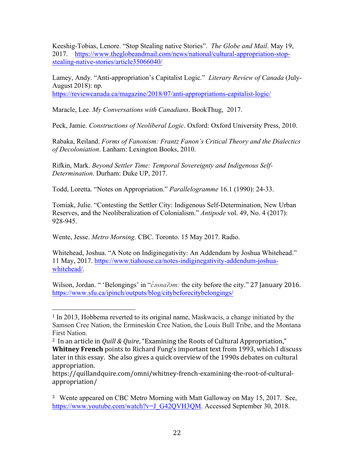Keeshig-Tobias, Lenore. "Stop Stealing native Stories". *The Globe and Mail*. May 19, 2017. https://www.theglobeandmail.com/news/national/cultural-appropriation-stopstealing-native-stories/article35066040/

Lamey, Andy. "Anti-appropriation's Capitalist Logic." *Literary Review of Canada* (July-August 2018): np.

https://reviewcanada.ca/magazine/2018/07/anti-appropriations-capitalist-logic/

Maracle, Lee. *My Conversations with Canadians*. BookThug, 2017.

Peck, Jamie. *Constructions of Neoliberal Logic*. Oxford: Oxford University Press, 2010.

Rabaka, Reiland. *Forms of Fanonism: Frantz Fanon's Critical Theory and the Dialectics of Decoloniation*. Lanham: Lexington Books, 2010.

Rifkin, Mark. *Beyond Settler Time: Temporal Sovereignty and Indigenous Self-Determination*. Durham: Duke UP, 2017.

Todd, Loretta. "Notes on Appropriation." *Parallelogramme* 16.1 (1990): 24-33.

Tomiak, Julie. "Contesting the Settler City: Indigenous Self-Determination, New Urban Reserves, and the Neoliberalization of Colonialism." *Antipode* vol. 49, No. 4 (2017): 928-945.

Wente, Jesse. *Metro Morning.* CBC. Toronto. 15 May 2017. Radio.

 

Whitehead, Joshua. "A Note on Indiginegativity: An Addendum by Joshua Whitehead." 11 May, 2017. https://www.tiahouse.ca/notes-indiginegativity-addendum-joshuawhitehead/.

Wilson, Jordan. " 'Belongings' in " $\dot{c}$ *asna?am:* the city before the city." 27 January 2016. https://www.sfu.ca/ipinch/outputs/blog/citybeforecitybelongings/

<sup>1</sup> In 2013, Hobbema reverted to its original name, Maskwacis, a change initiated by the Samson Cree Nation, the Ermineskin Cree Nation, the Louis Bull Tribe, and the Montana First Nation.

<sup>&</sup>lt;sup>2</sup> In an article in *Quill & Quire*, "Examining the Roots of Cultural Appropriation," **Whitney French** points to Richard Fung's important text from 1993, which I discuss later in this essay. She also gives a quick overview of the 1990s debates on cultural appropriation.

https://quillandquire.com/omni/whitney-french-examining-the-root-of-culturalappropriation/

<sup>&</sup>lt;sup>3</sup> Wente appeared on CBC Metro Morning with Matt Galloway on May 15, 2017. See, https://www.youtube.com/watch?v=J\_G42QVH3QM. Accessed September 30, 2018.